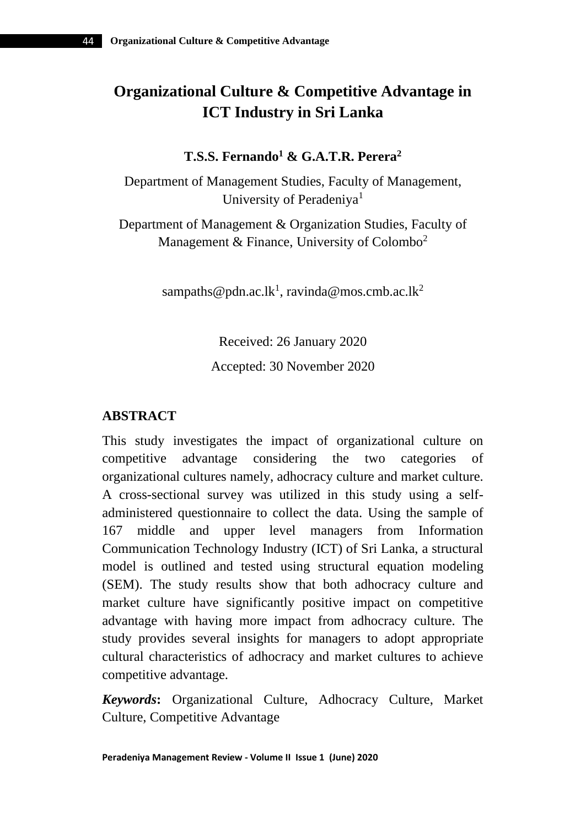# **Organizational Culture & Competitive Advantage in ICT Industry in Sri Lanka**

## **T.S.S. Fernando<sup>1</sup> & G.A.T.R. Perera<sup>2</sup>**

Department of Management Studies, Faculty of Management, University of Peradeniya<sup>1</sup>

Department of Management & Organization Studies, Faculty of Management & Finance, University of Colombo<sup>2</sup>

[sampaths@pdn.ac.lk](mailto:sampaths@pdn.ac.lk1)<sup>1</sup>, [ravinda@mos.cmb.ac.lk](mailto:ravinda@mos.cmb.ac.lk)<sup>2</sup>

Received: 26 January 2020 Accepted: 30 November 2020

## **ABSTRACT**

This study investigates the impact of organizational culture on competitive advantage considering the two categories of organizational cultures namely, adhocracy culture and market culture. A cross-sectional survey was utilized in this study using a selfadministered questionnaire to collect the data. Using the sample of 167 middle and upper level managers from Information Communication Technology Industry (ICT) of Sri Lanka, a structural model is outlined and tested using structural equation modeling (SEM). The study results show that both adhocracy culture and market culture have significantly positive impact on competitive advantage with having more impact from adhocracy culture. The study provides several insights for managers to adopt appropriate cultural characteristics of adhocracy and market cultures to achieve competitive advantage.

*Keywords***:** Organizational Culture, Adhocracy Culture, Market Culture, Competitive Advantage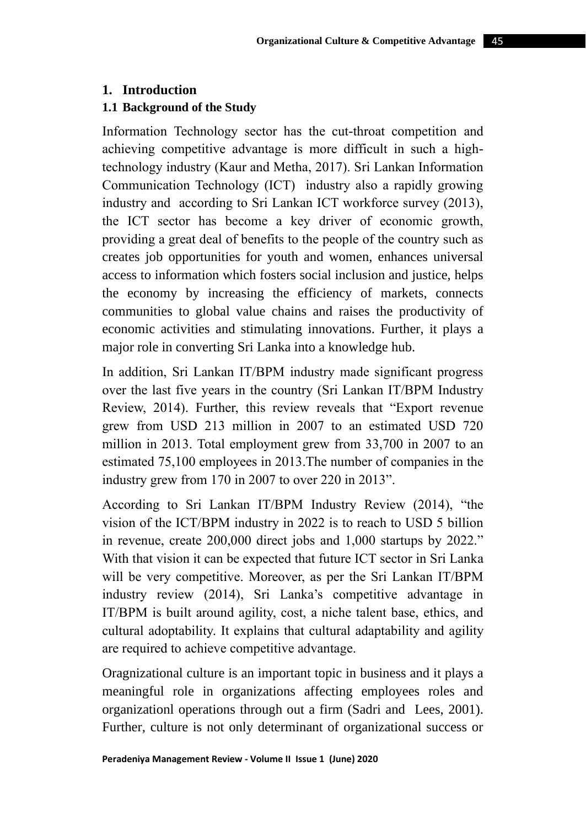# **1. Introduction**

## **1.1 Background of the Study**

Information Technology sector has the cut-throat competition and achieving competitive advantage is more difficult in such a hightechnology industry (Kaur and Metha, 2017). Sri Lankan Information Communication Technology (ICT) industry also a rapidly growing industry and according to Sri Lankan ICT workforce survey (2013), the ICT sector has become a key driver of economic growth, providing a great deal of benefits to the people of the country such as creates job opportunities for youth and women, enhances universal access to information which fosters social inclusion and justice, helps the economy by increasing the efficiency of markets, connects communities to global value chains and raises the productivity of economic activities and stimulating innovations. Further, it plays a major role in converting Sri Lanka into a knowledge hub.

In addition, Sri Lankan IT/BPM industry made significant progress over the last five years in the country (Sri Lankan IT/BPM Industry Review, 2014). Further, this review reveals that "Export revenue grew from USD 213 million in 2007 to an estimated USD 720 million in 2013. Total employment grew from 33,700 in 2007 to an estimated 75,100 employees in 2013.The number of companies in the industry grew from 170 in 2007 to over 220 in 2013".

According to Sri Lankan IT/BPM Industry Review (2014), "the vision of the ICT/BPM industry in 2022 is to reach to USD 5 billion in revenue, create 200,000 direct jobs and 1,000 startups by 2022." With that vision it can be expected that future ICT sector in Sri Lanka will be very competitive. Moreover, as per the Sri Lankan IT/BPM industry review (2014), Sri Lanka's competitive advantage in IT/BPM is built around agility, cost, a niche talent base, ethics, and cultural adoptability. It explains that cultural adaptability and agility are required to achieve competitive advantage.

Oragnizational culture is an important topic in business and it plays a meaningful role in organizations affecting employees roles and organizationl operations through out a firm (Sadri and Lees, 2001). Further, culture is not only determinant of organizational success or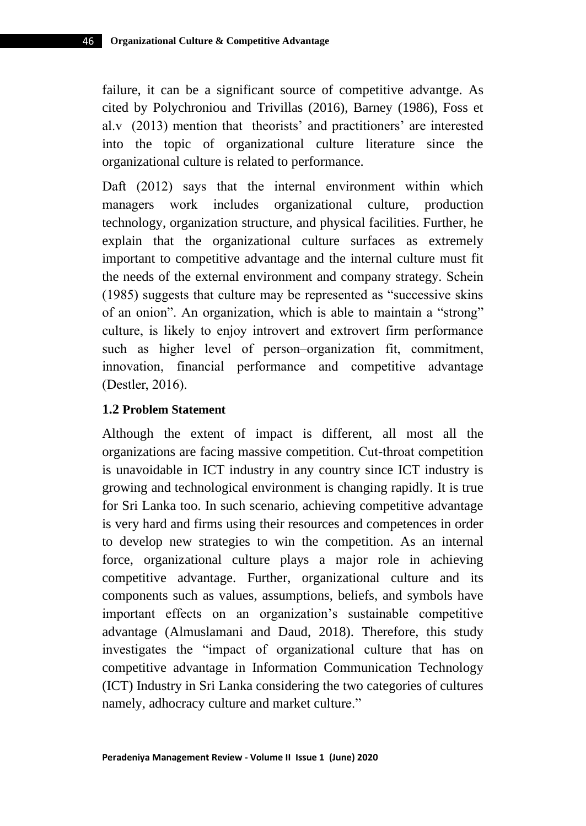failure, it can be a significant source of competitive advantge. As cited by Polychroniou and Trivillas (2016), Barney (1986), Foss et al.v (2013) mention that theorists' and practitioners' are interested into the topic of organizational culture literature since the organizational culture is related to performance.

Daft (2012) says that the internal environment within which managers work includes organizational culture, production technology, organization structure, and physical facilities. Further, he explain that the organizational culture surfaces as extremely important to competitive advantage and the internal culture must fit the needs of the external environment and company strategy. Schein (1985) suggests that culture may be represented as "successive skins of an onion". An organization, which is able to maintain a "strong" culture, is likely to enjoy introvert and extrovert firm performance such as higher level of person–organization fit, commitment, innovation, financial performance and competitive advantage (Destler, 2016).

### **1.2 Problem Statement**

Although the extent of impact is different, all most all the organizations are facing massive competition. Cut-throat competition is unavoidable in ICT industry in any country since ICT industry is growing and technological environment is changing rapidly. It is true for Sri Lanka too. In such scenario, achieving competitive advantage is very hard and firms using their resources and competences in order to develop new strategies to win the competition. As an internal force, organizational culture plays a major role in achieving competitive advantage. Further, organizational culture and its components such as values, assumptions, beliefs, and symbols have important effects on an organization's sustainable competitive advantage (Almuslamani and Daud, 2018). Therefore, this study investigates the "impact of organizational culture that has on competitive advantage in Information Communication Technology (ICT) Industry in Sri Lanka considering the two categories of cultures namely, adhocracy culture and market culture."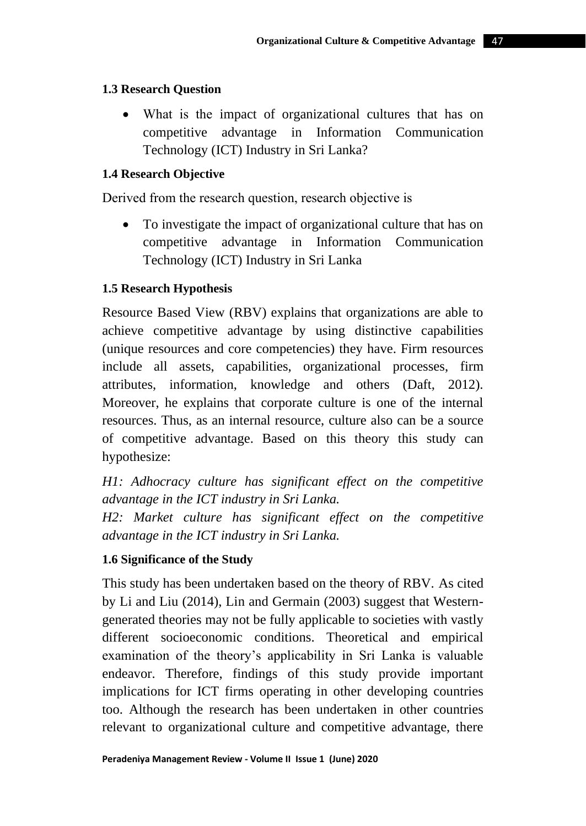# **1.3 Research Question**

• What is the impact of organizational cultures that has on competitive advantage in Information Communication Technology (ICT) Industry in Sri Lanka?

# **1.4 Research Objective**

Derived from the research question, research objective is

• To investigate the impact of organizational culture that has on competitive advantage in Information Communication Technology (ICT) Industry in Sri Lanka

# **1.5 Research Hypothesis**

Resource Based View (RBV) explains that organizations are able to achieve competitive advantage by using distinctive capabilities (unique resources and core competencies) they have. Firm resources include all assets, capabilities, organizational processes, firm attributes, information, knowledge and others (Daft, 2012). Moreover, he explains that corporate culture is one of the internal resources. Thus, as an internal resource, culture also can be a source of competitive advantage. Based on this theory this study can hypothesize:

*H1: Adhocracy culture has significant effect on the competitive advantage in the ICT industry in Sri Lanka.* 

*H2: Market culture has significant effect on the competitive advantage in the ICT industry in Sri Lanka.*

# **1.6 Significance of the Study**

This study has been undertaken based on the theory of RBV. As cited by Li and Liu (2014), Lin and Germain (2003) suggest that Westerngenerated theories may not be fully applicable to societies with vastly different socioeconomic conditions. Theoretical and empirical examination of the theory's applicability in Sri Lanka is valuable endeavor. Therefore, findings of this study provide important implications for ICT firms operating in other developing countries too. Although the research has been undertaken in other countries relevant to organizational culture and competitive advantage, there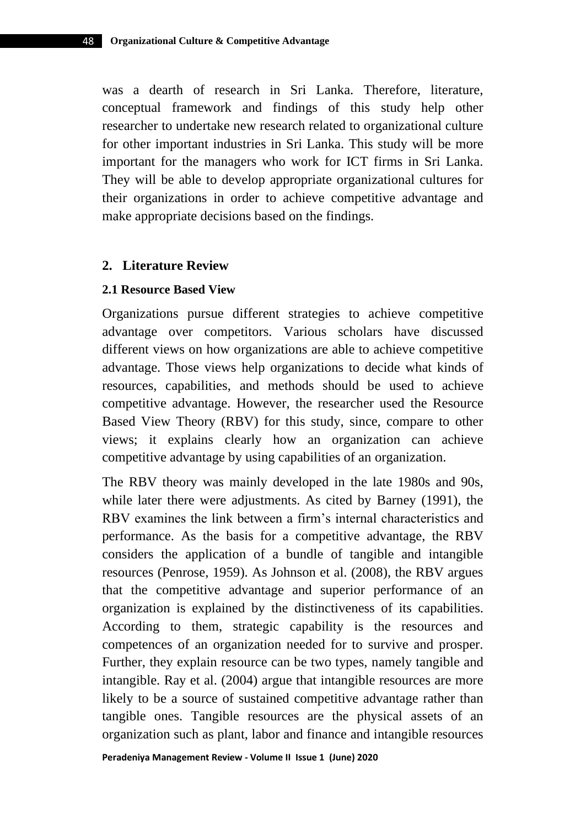was a dearth of research in Sri Lanka. Therefore, literature, conceptual framework and findings of this study help other researcher to undertake new research related to organizational culture for other important industries in Sri Lanka. This study will be more important for the managers who work for ICT firms in Sri Lanka. They will be able to develop appropriate organizational cultures for their organizations in order to achieve competitive advantage and make appropriate decisions based on the findings.

#### **2. Literature Review**

#### **2.1 Resource Based View**

Organizations pursue different strategies to achieve competitive advantage over competitors. Various scholars have discussed different views on how organizations are able to achieve competitive advantage. Those views help organizations to decide what kinds of resources, capabilities, and methods should be used to achieve competitive advantage. However, the researcher used the Resource Based View Theory (RBV) for this study, since, compare to other views; it explains clearly how an organization can achieve competitive advantage by using capabilities of an organization.

The RBV theory was mainly developed in the late 1980s and 90s, while later there were adjustments. As cited by Barney (1991), the RBV examines the link between a firm's internal characteristics and performance. As the basis for a competitive advantage, the RBV considers the application of a bundle of tangible and intangible resources (Penrose, 1959). As Johnson et al. (2008), the RBV argues that the competitive advantage and superior performance of an organization is explained by the distinctiveness of its capabilities. According to them, strategic capability is the resources and competences of an organization needed for to survive and prosper. Further, they explain resource can be two types, namely tangible and intangible. Ray et al. (2004) argue that intangible resources are more likely to be a source of sustained competitive advantage rather than tangible ones. Tangible resources are the physical assets of an organization such as plant, labor and finance and intangible resources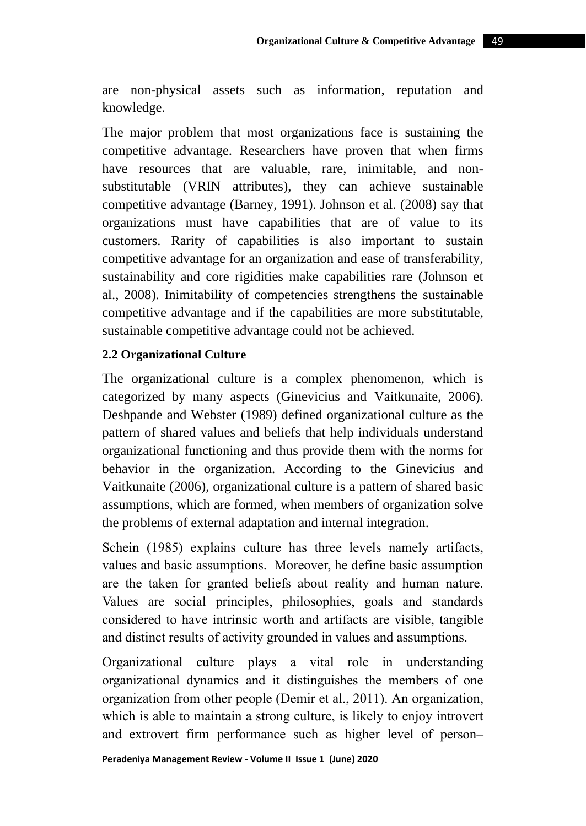are non-physical assets such as information, reputation and knowledge.

The major problem that most organizations face is sustaining the competitive advantage. Researchers have proven that when firms have resources that are valuable, rare, inimitable, and nonsubstitutable (VRIN attributes), they can achieve sustainable competitive advantage (Barney, 1991). Johnson et al. (2008) say that organizations must have capabilities that are of value to its customers. Rarity of capabilities is also important to sustain competitive advantage for an organization and ease of transferability, sustainability and core rigidities make capabilities rare (Johnson et al., 2008). Inimitability of competencies strengthens the sustainable competitive advantage and if the capabilities are more substitutable, sustainable competitive advantage could not be achieved.

#### **2.2 Organizational Culture**

The organizational culture is a complex phenomenon, which is categorized by many aspects (Ginevicius and Vaitkunaite, 2006). Deshpande and Webster (1989) defined organizational culture as the pattern of shared values and beliefs that help individuals understand organizational functioning and thus provide them with the norms for behavior in the organization. According to the Ginevicius and Vaitkunaite (2006), organizational culture is a pattern of shared basic assumptions, which are formed, when members of organization solve the problems of external adaptation and internal integration.

Schein (1985) explains culture has three levels namely artifacts, values and basic assumptions. Moreover, he define basic assumption are the taken for granted beliefs about reality and human nature. Values are social principles, philosophies, goals and standards considered to have intrinsic worth and artifacts are visible, tangible and distinct results of activity grounded in values and assumptions.

Organizational culture plays a vital role in understanding organizational dynamics and it distinguishes the members of one organization from other people (Demir et al., 2011). An organization, which is able to maintain a strong culture, is likely to enjoy introvert and extrovert firm performance such as higher level of person–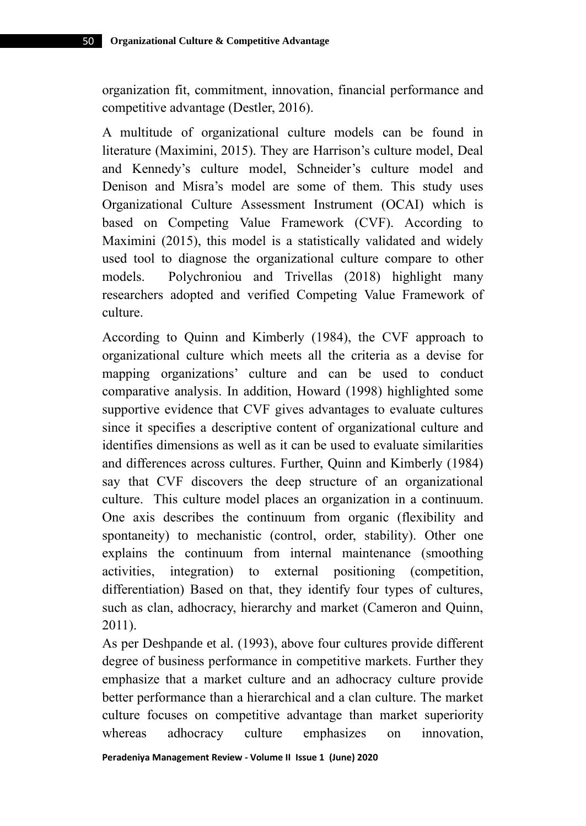organization fit, commitment, innovation, financial performance and competitive advantage (Destler, 2016).

A multitude of organizational culture models can be found in literature (Maximini, 2015). They are Harrison's culture model, Deal and Kennedy's culture model, Schneider's culture model and Denison and Misra's model are some of them. This study uses Organizational Culture Assessment Instrument (OCAI) which is based on Competing Value Framework (CVF). According to Maximini (2015), this model is a statistically validated and widely used tool to diagnose the organizational culture compare to other models. Polychroniou and Trivellas (2018) highlight many researchers adopted and verified Competing Value Framework of culture.

According to Quinn and Kimberly (1984), the CVF approach to organizational culture which meets all the criteria as a devise for mapping organizations' culture and can be used to conduct comparative analysis. In addition, Howard (1998) highlighted some supportive evidence that CVF gives advantages to evaluate cultures since it specifies a descriptive content of organizational culture and identifies dimensions as well as it can be used to evaluate similarities and differences across cultures. Further, Quinn and Kimberly (1984) say that CVF discovers the deep structure of an organizational culture. This culture model places an organization in a continuum. One axis describes the continuum from organic (flexibility and spontaneity) to mechanistic (control, order, stability). Other one explains the continuum from internal maintenance (smoothing activities, integration) to external positioning (competition, differentiation) Based on that, they identify four types of cultures, such as clan, adhocracy, hierarchy and market (Cameron and Quinn, 2011).

As per Deshpande et al. (1993), above four cultures provide different degree of business performance in competitive markets. Further they emphasize that a market culture and an adhocracy culture provide better performance than a hierarchical and a clan culture. The market culture focuses on competitive advantage than market superiority whereas adhocracy culture emphasizes on innovation,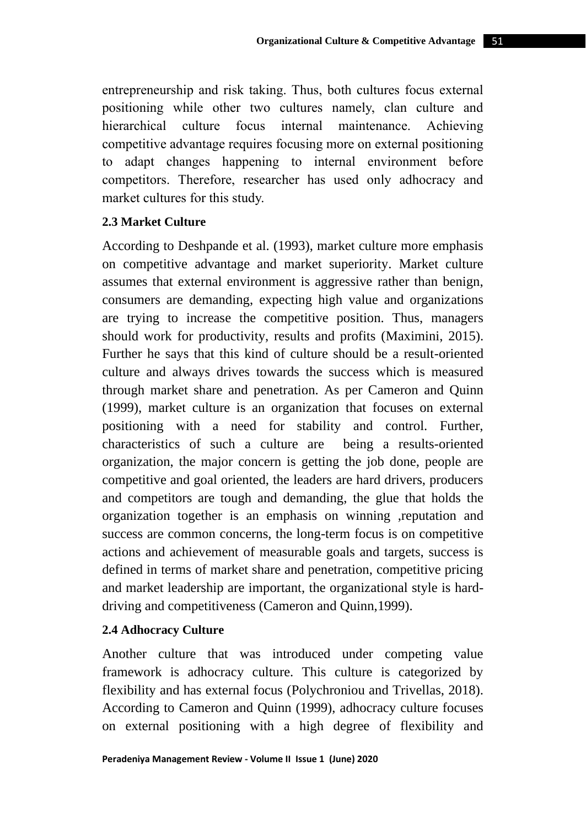entrepreneurship and risk taking. Thus, both cultures focus external positioning while other two cultures namely, clan culture and hierarchical culture focus internal maintenance. Achieving competitive advantage requires focusing more on external positioning to adapt changes happening to internal environment before competitors. Therefore, researcher has used only adhocracy and market cultures for this study.

#### **2.3 Market Culture**

According to Deshpande et al. (1993), market culture more emphasis on competitive advantage and market superiority. Market culture assumes that external environment is aggressive rather than benign, consumers are demanding, expecting high value and organizations are trying to increase the competitive position. Thus, managers should work for productivity, results and profits (Maximini, 2015). Further he says that this kind of culture should be a result-oriented culture and always drives towards the success which is measured through market share and penetration. As per Cameron and Quinn (1999), market culture is an organization that focuses on external positioning with a need for stability and control. Further, characteristics of such a culture are being a results-oriented organization, the major concern is getting the job done, people are competitive and goal oriented, the leaders are hard drivers, producers and competitors are tough and demanding, the glue that holds the organization together is an emphasis on winning ,reputation and success are common concerns, the long-term focus is on competitive actions and achievement of measurable goals and targets, success is defined in terms of market share and penetration, competitive pricing and market leadership are important, the organizational style is harddriving and competitiveness (Cameron and Quinn,1999).

## **2.4 Adhocracy Culture**

Another culture that was introduced under competing value framework is adhocracy culture. This culture is categorized by flexibility and has external focus (Polychroniou and Trivellas, 2018). According to Cameron and Quinn (1999), adhocracy culture focuses on external positioning with a high degree of flexibility and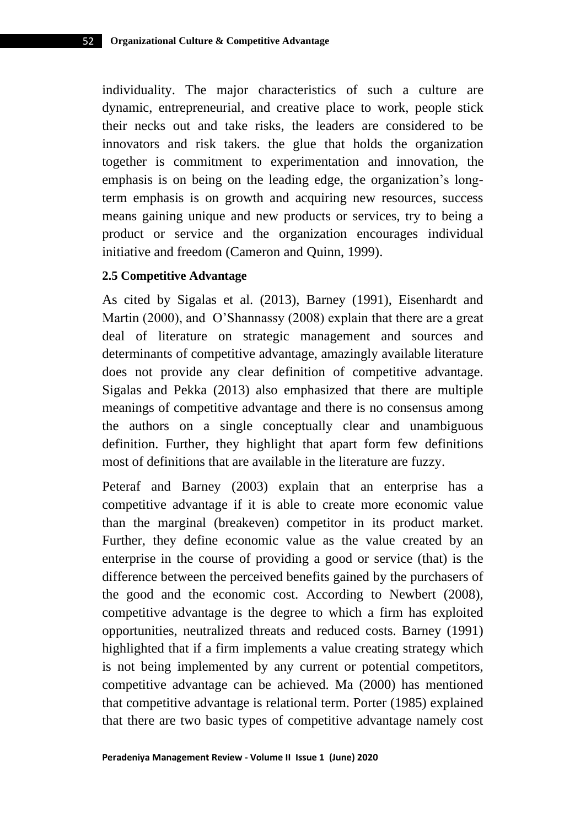individuality. The major characteristics of such a culture are dynamic, entrepreneurial, and creative place to work, people stick their necks out and take risks, the leaders are considered to be innovators and risk takers. the glue that holds the organization together is commitment to experimentation and innovation, the emphasis is on being on the leading edge, the organization's longterm emphasis is on growth and acquiring new resources, success means gaining unique and new products or services, try to being a product or service and the organization encourages individual initiative and freedom (Cameron and Quinn, 1999).

#### **2.5 Competitive Advantage**

As cited by Sigalas et al. (2013), Barney (1991), Eisenhardt and Martin (2000), and O'Shannassy (2008) explain that there are a great deal of literature on strategic management and sources and determinants of competitive advantage, amazingly available literature does not provide any clear definition of competitive advantage. Sigalas and Pekka (2013) also emphasized that there are multiple meanings of competitive advantage and there is no consensus among the authors on a single conceptually clear and unambiguous definition. Further, they highlight that apart form few definitions most of definitions that are available in the literature are fuzzy.

Peteraf and Barney (2003) explain that an enterprise has a competitive advantage if it is able to create more economic value than the marginal (breakeven) competitor in its product market. Further, they define economic value as the value created by an enterprise in the course of providing a good or service (that) is the difference between the perceived benefits gained by the purchasers of the good and the economic cost. According to Newbert (2008), competitive advantage is the degree to which a firm has exploited opportunities, neutralized threats and reduced costs. Barney (1991) highlighted that if a firm implements a value creating strategy which is not being implemented by any current or potential competitors, competitive advantage can be achieved. Ma (2000) has mentioned that competitive advantage is relational term. Porter (1985) explained that there are two basic types of competitive advantage namely cost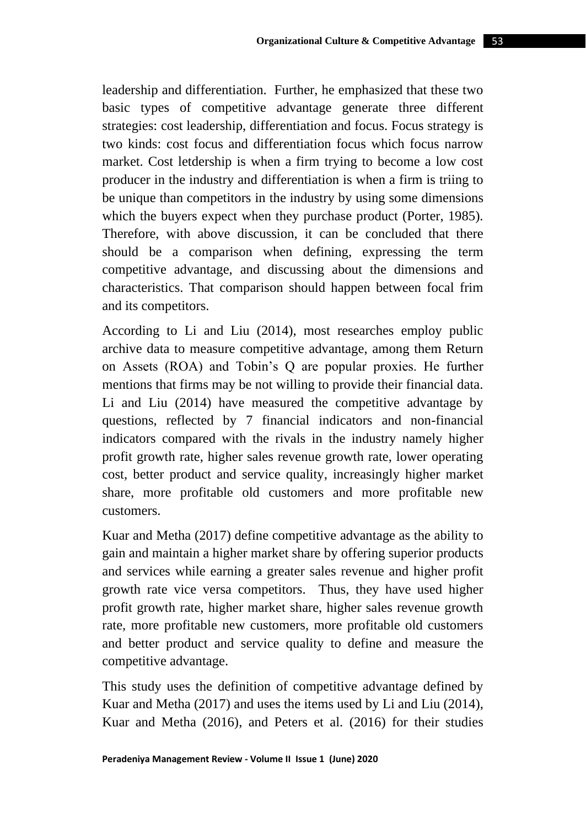leadership and differentiation. Further, he emphasized that these two basic types of competitive advantage generate three different strategies: cost leadership, differentiation and focus. Focus strategy is two kinds: cost focus and differentiation focus which focus narrow market. Cost letdership is when a firm trying to become a low cost producer in the industry and differentiation is when a firm is triing to be unique than competitors in the industry by using some dimensions which the buyers expect when they purchase product (Porter, 1985). Therefore, with above discussion, it can be concluded that there should be a comparison when defining, expressing the term competitive advantage, and discussing about the dimensions and characteristics. That comparison should happen between focal frim and its competitors.

According to Li and Liu (2014), most researches employ public archive data to measure competitive advantage, among them Return on Assets (ROA) and Tobin's Q are popular proxies. He further mentions that firms may be not willing to provide their financial data. Li and Liu (2014) have measured the competitive advantage by questions, reflected by 7 financial indicators and non-financial indicators compared with the rivals in the industry namely higher profit growth rate, higher sales revenue growth rate, lower operating cost, better product and service quality, increasingly higher market share, more profitable old customers and more profitable new customers.

Kuar and Metha (2017) define competitive advantage as the ability to gain and maintain a higher market share by offering superior products and services while earning a greater sales revenue and higher profit growth rate vice versa competitors. Thus, they have used higher profit growth rate, higher market share, higher sales revenue growth rate, more profitable new customers, more profitable old customers and better product and service quality to define and measure the competitive advantage.

This study uses the definition of competitive advantage defined by Kuar and Metha (2017) and uses the items used by Li and Liu (2014), Kuar and Metha (2016), and Peters et al. (2016) for their studies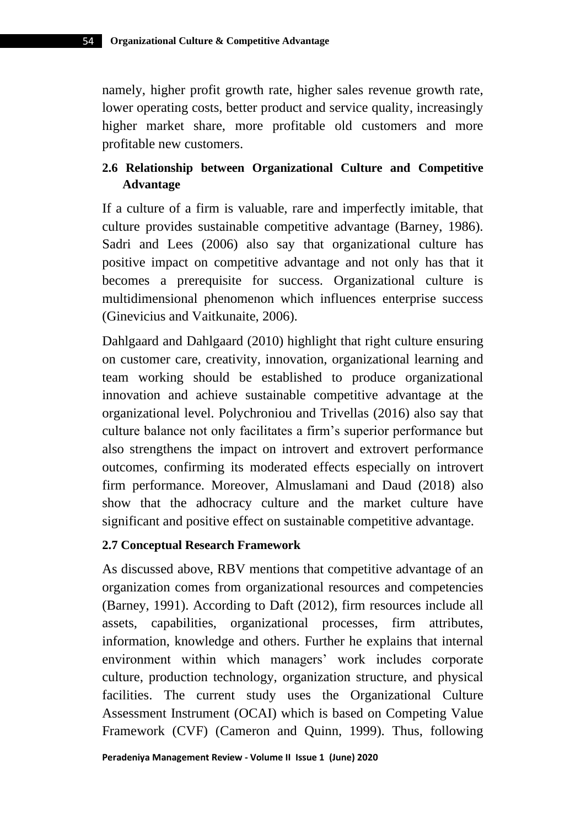namely, higher profit growth rate, higher sales revenue growth rate, lower operating costs, better product and service quality, increasingly higher market share, more profitable old customers and more profitable new customers.

# **2.6 Relationship between Organizational Culture and Competitive Advantage**

If a culture of a firm is valuable, rare and imperfectly imitable, that culture provides sustainable competitive advantage (Barney, 1986). Sadri and Lees (2006) also say that organizational culture has positive impact on competitive advantage and not only has that it becomes a prerequisite for success. Organizational culture is multidimensional phenomenon which influences enterprise success (Ginevicius and Vaitkunaite, 2006).

Dahlgaard and Dahlgaard (2010) highlight that right culture ensuring on customer care, creativity, innovation, organizational learning and team working should be established to produce organizational innovation and achieve sustainable competitive advantage at the organizational level. Polychroniou and Trivellas (2016) also say that culture balance not only facilitates a firm's superior performance but also strengthens the impact on introvert and extrovert performance outcomes, confirming its moderated effects especially on introvert firm performance. Moreover, Almuslamani and Daud (2018) also show that the adhocracy culture and the market culture have significant and positive effect on sustainable competitive advantage.

## **2.7 Conceptual Research Framework**

As discussed above, RBV mentions that competitive advantage of an organization comes from organizational resources and competencies (Barney, 1991). According to Daft (2012), firm resources include all assets, capabilities, organizational processes, firm attributes, information, knowledge and others. Further he explains that internal environment within which managers' work includes corporate culture, production technology, organization structure, and physical facilities. The current study uses the Organizational Culture Assessment Instrument (OCAI) which is based on Competing Value Framework (CVF) (Cameron and Quinn, 1999). Thus, following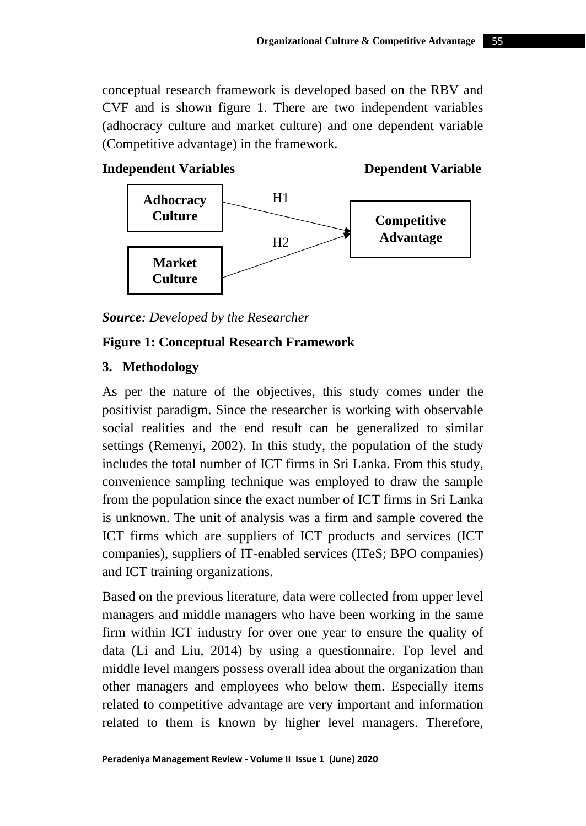conceptual research framework is developed based on the RBV and CVF and is shown figure 1. There are two independent variables (adhocracy culture and market culture) and one dependent variable (Competitive advantage) in the framework.



*Source: Developed by the Researcher*

# **Figure 1: Conceptual Research Framework**

## **3. Methodology**

As per the nature of the objectives, this study comes under the positivist paradigm. Since the researcher is working with observable social realities and the end result can be generalized to similar settings (Remenyi, 2002). In this study, the population of the study includes the total number of ICT firms in Sri Lanka. From this study, convenience sampling technique was employed to draw the sample from the population since the exact number of ICT firms in Sri Lanka is unknown. The unit of analysis was a firm and sample covered the ICT firms which are suppliers of ICT products and services (ICT companies), suppliers of IT-enabled services (ITeS; BPO companies) and ICT training organizations.

Based on the previous literature, data were collected from upper level managers and middle managers who have been working in the same firm within ICT industry for over one year to ensure the quality of data (Li and Liu, 2014) by using a questionnaire. Top level and middle level mangers possess overall idea about the organization than other managers and employees who below them. Especially items related to competitive advantage are very important and information related to them is known by higher level managers. Therefore,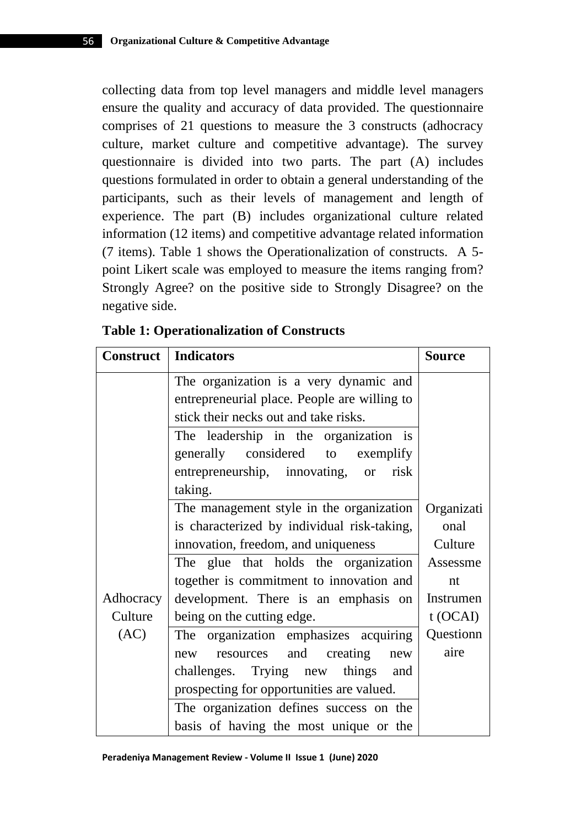collecting data from top level managers and middle level managers ensure the quality and accuracy of data provided. The questionnaire comprises of 21 questions to measure the 3 constructs (adhocracy culture, market culture and competitive advantage). The survey questionnaire is divided into two parts. The part (A) includes questions formulated in order to obtain a general understanding of the participants, such as their levels of management and length of experience. The part (B) includes organizational culture related information (12 items) and competitive advantage related information (7 items). Table 1 shows the Operationalization of constructs. A 5 point Likert scale was employed to measure the items ranging from? Strongly Agree? on the positive side to Strongly Disagree? on the negative side.

| <b>Construct</b> | <b>Indicators</b>                                                                      | <b>Source</b> |  |  |  |
|------------------|----------------------------------------------------------------------------------------|---------------|--|--|--|
|                  | The organization is a very dynamic and<br>entrepreneurial place. People are willing to |               |  |  |  |
|                  | stick their necks out and take risks.                                                  |               |  |  |  |
|                  |                                                                                        |               |  |  |  |
|                  | The leadership in the organization is                                                  |               |  |  |  |
|                  | generally considered to<br>exemplify                                                   |               |  |  |  |
|                  | entrepreneurship, innovating,<br>risk<br><b>or</b>                                     |               |  |  |  |
|                  | taking.                                                                                |               |  |  |  |
|                  | The management style in the organization                                               |               |  |  |  |
|                  | is characterized by individual risk-taking,                                            |               |  |  |  |
|                  | innovation, freedom, and uniqueness                                                    | Culture       |  |  |  |
|                  | The glue that holds the organization                                                   | Assessme      |  |  |  |
|                  | together is commitment to innovation and                                               | nt            |  |  |  |
| Adhocracy        | development. There is an emphasis on                                                   | Instrumen     |  |  |  |
| Culture          | being on the cutting edge.                                                             | $t$ (OCAI)    |  |  |  |
| (AC)             | The organization emphasizes acquiring                                                  | Questionn     |  |  |  |
|                  | resources and<br>creating<br>new<br>new                                                | aire          |  |  |  |
|                  | challenges. Trying new things<br>and                                                   |               |  |  |  |
|                  | prospecting for opportunities are valued.                                              |               |  |  |  |
|                  | The organization defines success on the                                                |               |  |  |  |
|                  | basis of having the most unique or the                                                 |               |  |  |  |

**Table 1: Operationalization of Constructs**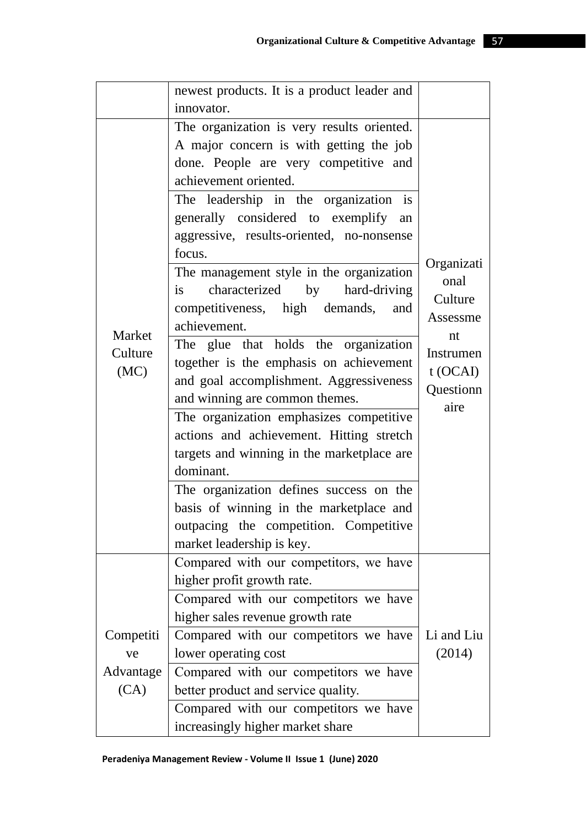|                           | newest products. It is a product leader and      |                    |  |  |  |
|---------------------------|--------------------------------------------------|--------------------|--|--|--|
|                           | innovator.                                       |                    |  |  |  |
|                           | The organization is very results oriented.       |                    |  |  |  |
|                           | A major concern is with getting the job          |                    |  |  |  |
|                           | done. People are very competitive and            |                    |  |  |  |
|                           | achievement oriented.                            |                    |  |  |  |
|                           | The leadership in the organization is            |                    |  |  |  |
|                           | generally considered to exemplify<br>an          |                    |  |  |  |
|                           | aggressive, results-oriented, no-nonsense        |                    |  |  |  |
|                           | focus.                                           |                    |  |  |  |
|                           | The management style in the organization         | Organizati<br>onal |  |  |  |
|                           | characterized<br>by<br>hard-driving<br><i>is</i> | Culture            |  |  |  |
|                           | competitiveness, high demands,<br>and            | Assessme           |  |  |  |
| Market<br>Culture<br>(MC) | achievement.                                     |                    |  |  |  |
|                           | The glue that holds the organization             | nt<br>Instrumen    |  |  |  |
|                           | together is the emphasis on achievement          | $t$ (OCAI)         |  |  |  |
|                           | and goal accomplishment. Aggressiveness          | Questionn          |  |  |  |
|                           | and winning are common themes.                   | aire               |  |  |  |
|                           | The organization emphasizes competitive          |                    |  |  |  |
|                           | actions and achievement. Hitting stretch         |                    |  |  |  |
|                           | targets and winning in the marketplace are       |                    |  |  |  |
|                           | dominant.                                        |                    |  |  |  |
|                           | The organization defines success on the          |                    |  |  |  |
|                           | basis of winning in the marketplace and          |                    |  |  |  |
|                           | outpacing the competition. Competitive           |                    |  |  |  |
|                           | market leadership is key.                        |                    |  |  |  |
|                           | Compared with our competitors, we have           |                    |  |  |  |
|                           | higher profit growth rate.                       |                    |  |  |  |
|                           | Compared with our competitors we have            |                    |  |  |  |
|                           | higher sales revenue growth rate                 |                    |  |  |  |
| Competiti                 | Compared with our competitors we have            | Li and Liu         |  |  |  |
| ve                        | lower operating cost                             | (2014)             |  |  |  |
| Advantage                 | Compared with our competitors we have            |                    |  |  |  |
| (CA)                      | better product and service quality.              |                    |  |  |  |
|                           | Compared with our competitors we have            |                    |  |  |  |
|                           | increasingly higher market share                 |                    |  |  |  |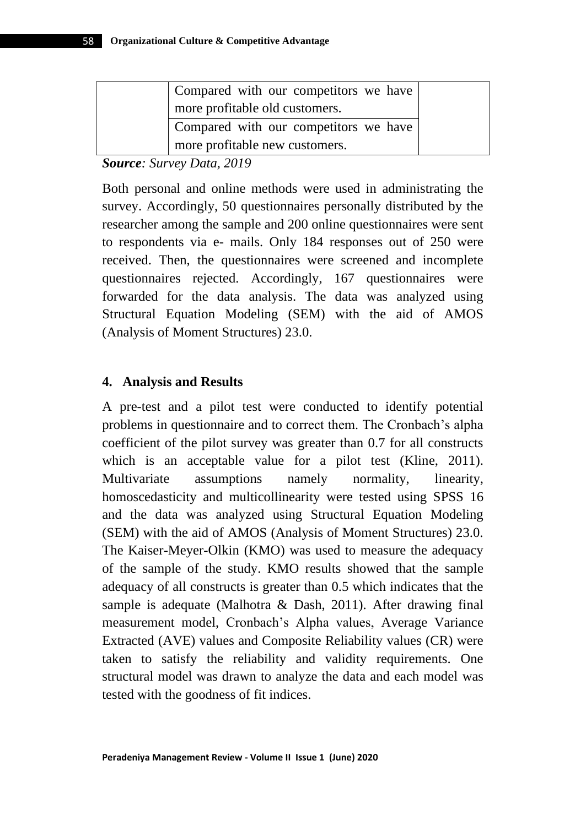| Compared with our competitors we have |
|---------------------------------------|
| more profitable old customers.        |
| Compared with our competitors we have |
| more profitable new customers.        |

*Source: Survey Data, 2019*

Both personal and online methods were used in administrating the survey. Accordingly, 50 questionnaires personally distributed by the researcher among the sample and 200 online questionnaires were sent to respondents via e- mails. Only 184 responses out of 250 were received. Then, the questionnaires were screened and incomplete questionnaires rejected. Accordingly, 167 questionnaires were forwarded for the data analysis. The data was analyzed using Structural Equation Modeling (SEM) with the aid of AMOS (Analysis of Moment Structures) 23.0.

#### **4. Analysis and Results**

A pre-test and a pilot test were conducted to identify potential problems in questionnaire and to correct them. The Cronbach's alpha coefficient of the pilot survey was greater than 0.7 for all constructs which is an acceptable value for a pilot test (Kline, 2011). Multivariate assumptions namely normality, linearity, homoscedasticity and multicollinearity were tested using SPSS 16 and the data was analyzed using Structural Equation Modeling (SEM) with the aid of AMOS (Analysis of Moment Structures) 23.0. The Kaiser-Meyer-Olkin (KMO) was used to measure the adequacy of the sample of the study. KMO results showed that the sample adequacy of all constructs is greater than 0.5 which indicates that the sample is adequate (Malhotra & Dash, 2011). After drawing final measurement model, Cronbach's Alpha values, Average Variance Extracted (AVE) values and Composite Reliability values (CR) were taken to satisfy the reliability and validity requirements. One structural model was drawn to analyze the data and each model was tested with the goodness of fit indices.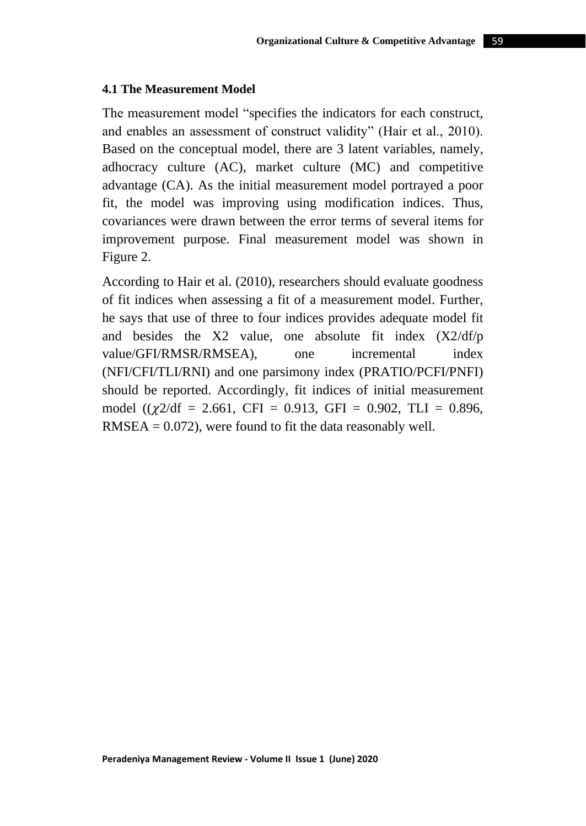#### **4.1 The Measurement Model**

The measurement model "specifies the indicators for each construct, and enables an assessment of construct validity" (Hair et al., 2010). Based on the conceptual model, there are 3 latent variables, namely, adhocracy culture (AC), market culture (MC) and competitive advantage (CA). As the initial measurement model portrayed a poor fit, the model was improving using modification indices. Thus, covariances were drawn between the error terms of several items for improvement purpose. Final measurement model was shown in Figure 2.

According to Hair et al. (2010), researchers should evaluate goodness of fit indices when assessing a fit of a measurement model. Further, he says that use of three to four indices provides adequate model fit and besides the X2 value, one absolute fit index (X2/df/p value/GFI/RMSR/RMSEA), one incremental index (NFI/CFI/TLI/RNI) and one parsimony index (PRATIO/PCFI/PNFI) should be reported. Accordingly, fit indices of initial measurement model  $((\chi 2/df = 2.661, CFI = 0.913, GFI = 0.902, TLI = 0.896,$  $RMSEA = 0.072$ , were found to fit the data reasonably well.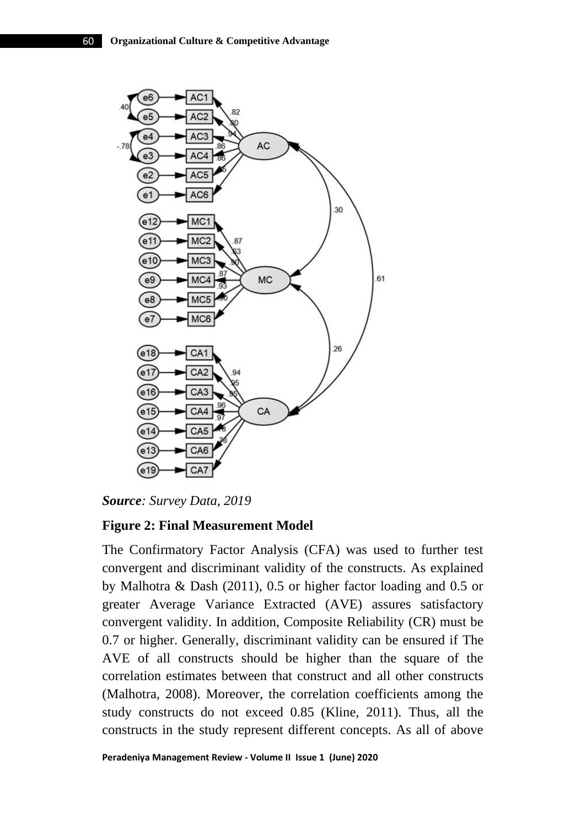

*Source: Survey Data, 2019*

# **Figure 2: Final Measurement Model**

The Confirmatory Factor Analysis (CFA) was used to further test convergent and discriminant validity of the constructs. As explained by Malhotra & Dash (2011), 0.5 or higher factor loading and 0.5 or greater Average Variance Extracted (AVE) assures satisfactory convergent validity. In addition, Composite Reliability (CR) must be 0.7 or higher. Generally, discriminant validity can be ensured if The AVE of all constructs should be higher than the square of the correlation estimates between that construct and all other constructs (Malhotra, 2008). Moreover, the correlation coefficients among the study constructs do not exceed 0.85 (Kline, 2011). Thus, all the constructs in the study represent different concepts. As all of above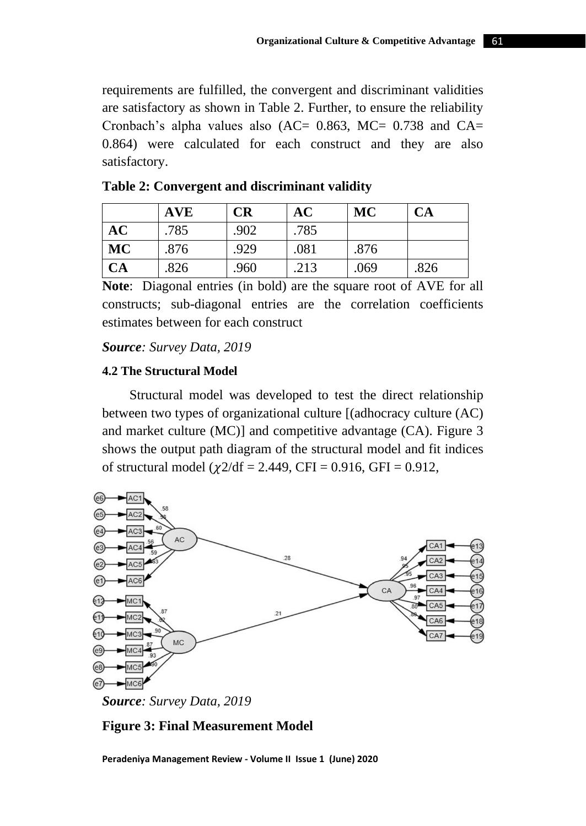requirements are fulfilled, the convergent and discriminant validities are satisfactory as shown in Table 2. Further, to ensure the reliability Cronbach's alpha values also (AC=  $0.863$ , MC=  $0.738$  and CA= 0.864) were calculated for each construct and they are also satisfactory.

|           | <b>AVE</b> | CR   | AC   | MC   | <b>CA</b> |
|-----------|------------|------|------|------|-----------|
| AC        | .785       | .902 | .785 |      |           |
| <b>MC</b> | .876       | .929 | .081 | .876 |           |
| <b>CA</b> | .826       | .960 | .213 | .069 | .826      |

| Table 2: Convergent and discriminant validity |  |  |  |
|-----------------------------------------------|--|--|--|
|-----------------------------------------------|--|--|--|

**Note**: Diagonal entries (in bold) are the square root of AVE for all constructs; sub-diagonal entries are the correlation coefficients estimates between for each construct

#### *Source: Survey Data, 2019*

#### **4.2 The Structural Model**

 Structural model was developed to test the direct relationship between two types of organizational culture [(adhocracy culture (AC) and market culture (MC)] and competitive advantage (CA). Figure 3 shows the output path diagram of the structural model and fit indices of structural model ( $\chi$ 2/df = 2.449, CFI = 0.916, GFI = 0.912,



*Source: Survey Data, 2019*

#### **Figure 3: Final Measurement Model**

**Peradeniya Management Review - Volume II Issue 1 (June) 2020**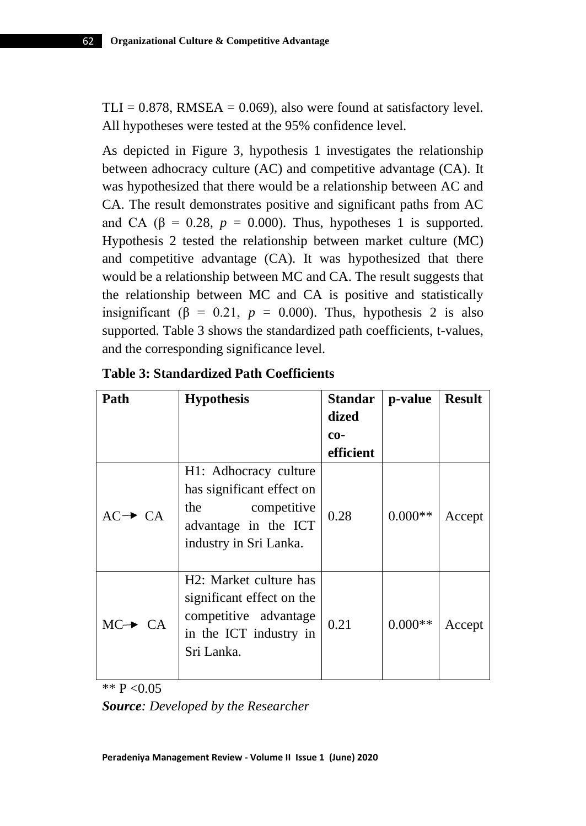$TLI = 0.878$ , RMSEA = 0.069), also were found at satisfactory level. All hypotheses were tested at the 95% confidence level.

As depicted in Figure 3, hypothesis 1 investigates the relationship between adhocracy culture (AC) and competitive advantage (CA). It was hypothesized that there would be a relationship between AC and CA. The result demonstrates positive and significant paths from AC and CA ( $\beta$  = 0.28,  $p = 0.000$ ). Thus, hypotheses 1 is supported. Hypothesis 2 tested the relationship between market culture (MC) and competitive advantage (CA). It was hypothesized that there would be a relationship between MC and CA. The result suggests that the relationship between MC and CA is positive and statistically insignificant ( $\beta = 0.21$ ,  $p = 0.000$ ). Thus, hypothesis 2 is also supported. Table 3 shows the standardized path coefficients, t-values, and the corresponding significance level.

| Path                | <b>Hypothesis</b>                                                                                                          | <b>Standar</b> | p-value   | <b>Result</b> |
|---------------------|----------------------------------------------------------------------------------------------------------------------------|----------------|-----------|---------------|
|                     |                                                                                                                            | dized          |           |               |
|                     |                                                                                                                            | $co-$          |           |               |
|                     |                                                                                                                            | efficient      |           |               |
| $AC \rightarrow CA$ | H1: Adhocracy culture<br>has significant effect on<br>the<br>competitive<br>advantage in the ICT<br>industry in Sri Lanka. | 0.28           | $0.000**$ | Accept        |
| $MC \rightarrow CA$ | H2: Market culture has<br>significant effect on the<br>competitive advantage<br>in the ICT industry in<br>Sri Lanka.       | 0.21           | $0.000**$ | Accept        |

\*\*  $P < 0.05$ 

*Source: Developed by the Researcher*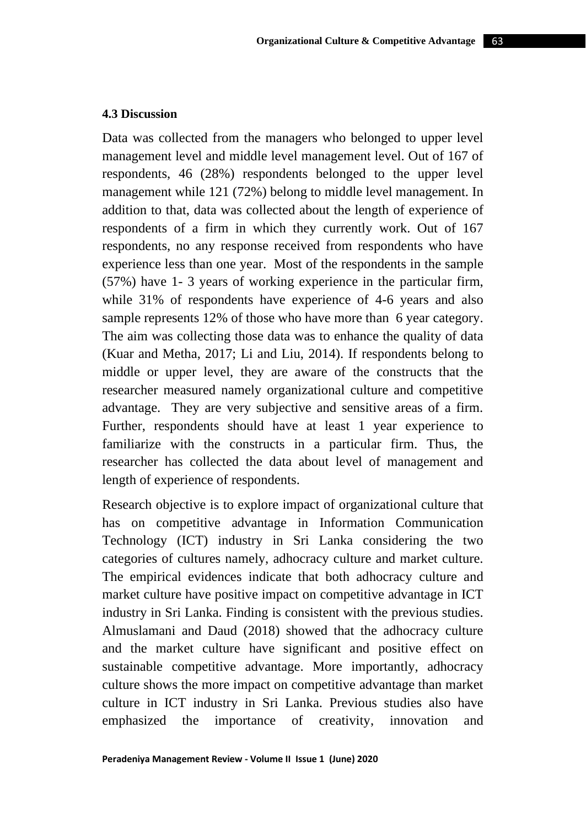Data was collected from the managers who belonged to upper level management level and middle level management level. Out of 167 of respondents, 46 (28%) respondents belonged to the upper level management while 121 (72%) belong to middle level management. In addition to that, data was collected about the length of experience of respondents of a firm in which they currently work. Out of 167 respondents, no any response received from respondents who have experience less than one year. Most of the respondents in the sample (57%) have 1- 3 years of working experience in the particular firm, while 31% of respondents have experience of 4-6 years and also sample represents 12% of those who have more than 6 year category. The aim was collecting those data was to enhance the quality of data (Kuar and Metha, 2017; Li and Liu, 2014). If respondents belong to middle or upper level, they are aware of the constructs that the researcher measured namely organizational culture and competitive advantage. They are very subjective and sensitive areas of a firm. Further, respondents should have at least 1 year experience to familiarize with the constructs in a particular firm. Thus, the researcher has collected the data about level of management and length of experience of respondents.

Research objective is to explore impact of organizational culture that has on competitive advantage in Information Communication Technology (ICT) industry in Sri Lanka considering the two categories of cultures namely, adhocracy culture and market culture. The empirical evidences indicate that both adhocracy culture and market culture have positive impact on competitive advantage in ICT industry in Sri Lanka. Finding is consistent with the previous studies. Almuslamani and Daud (2018) showed that the adhocracy culture and the market culture have significant and positive effect on sustainable competitive advantage. More importantly, adhocracy culture shows the more impact on competitive advantage than market culture in ICT industry in Sri Lanka. Previous studies also have emphasized the importance of creativity, innovation and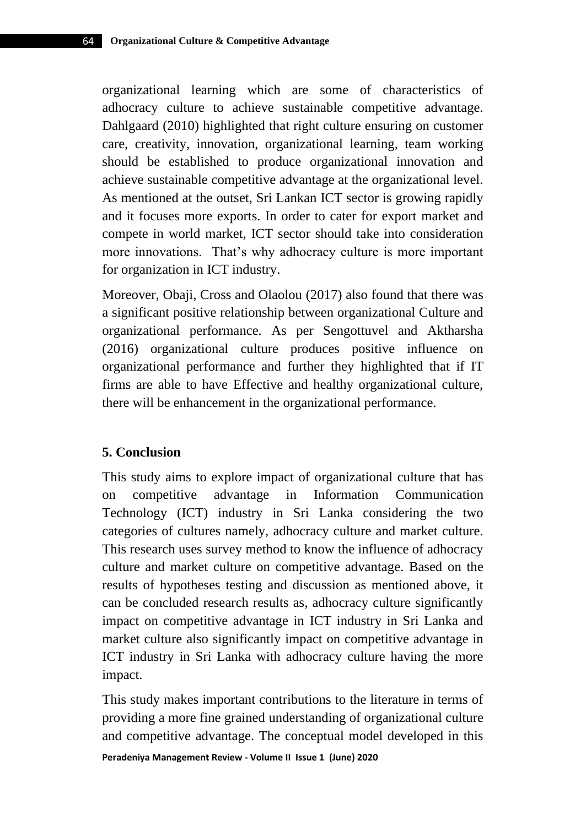organizational learning which are some of characteristics of adhocracy culture to achieve sustainable competitive advantage. Dahlgaard (2010) highlighted that right culture ensuring on customer care, creativity, innovation, organizational learning, team working should be established to produce organizational innovation and achieve sustainable competitive advantage at the organizational level. As mentioned at the outset, Sri Lankan ICT sector is growing rapidly and it focuses more exports. In order to cater for export market and compete in world market, ICT sector should take into consideration more innovations. That's why adhocracy culture is more important for organization in ICT industry.

Moreover, Obaji, Cross and Olaolou (2017) also found that there was a significant positive relationship between organizational Culture and organizational performance. As per Sengottuvel and Aktharsha (2016) organizational culture produces positive influence on organizational performance and further they highlighted that if IT firms are able to have Effective and healthy organizational culture, there will be enhancement in the organizational performance.

## **5. Conclusion**

This study aims to explore impact of organizational culture that has on competitive advantage in Information Communication Technology (ICT) industry in Sri Lanka considering the two categories of cultures namely, adhocracy culture and market culture. This research uses survey method to know the influence of adhocracy culture and market culture on competitive advantage. Based on the results of hypotheses testing and discussion as mentioned above, it can be concluded research results as, adhocracy culture significantly impact on competitive advantage in ICT industry in Sri Lanka and market culture also significantly impact on competitive advantage in ICT industry in Sri Lanka with adhocracy culture having the more impact.

This study makes important contributions to the literature in terms of providing a more fine grained understanding of organizational culture and competitive advantage. The conceptual model developed in this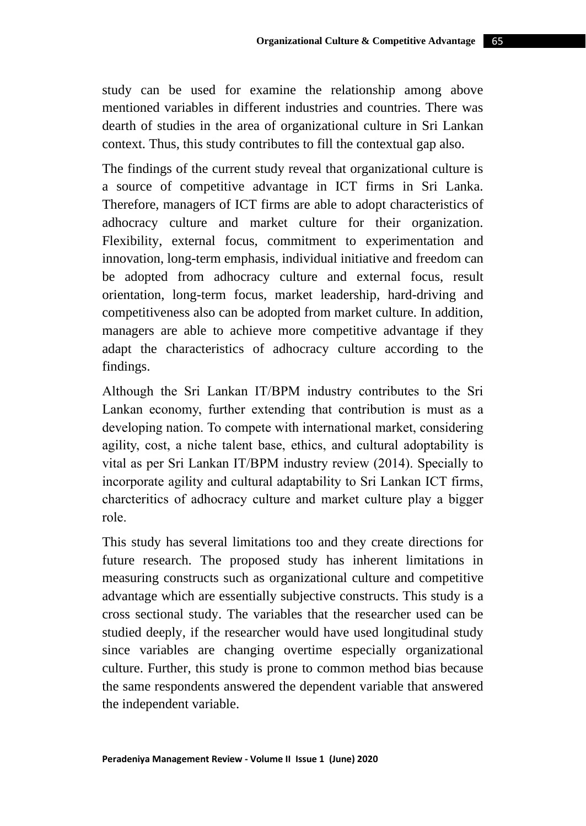study can be used for examine the relationship among above mentioned variables in different industries and countries. There was dearth of studies in the area of organizational culture in Sri Lankan context. Thus, this study contributes to fill the contextual gap also.

The findings of the current study reveal that organizational culture is a source of competitive advantage in ICT firms in Sri Lanka. Therefore, managers of ICT firms are able to adopt characteristics of adhocracy culture and market culture for their organization. Flexibility, external focus, commitment to experimentation and innovation, long-term emphasis, individual initiative and freedom can be adopted from adhocracy culture and external focus, result orientation, long-term focus, market leadership, hard-driving and competitiveness also can be adopted from market culture. In addition, managers are able to achieve more competitive advantage if they adapt the characteristics of adhocracy culture according to the findings.

Although the Sri Lankan IT/BPM industry contributes to the Sri Lankan economy, further extending that contribution is must as a developing nation. To compete with international market, considering agility, cost, a niche talent base, ethics, and cultural adoptability is vital as per Sri Lankan IT/BPM industry review (2014). Specially to incorporate agility and cultural adaptability to Sri Lankan ICT firms, charcteritics of adhocracy culture and market culture play a bigger role.

This study has several limitations too and they create directions for future research. The proposed study has inherent limitations in measuring constructs such as organizational culture and competitive advantage which are essentially subjective constructs. This study is a cross sectional study. The variables that the researcher used can be studied deeply, if the researcher would have used longitudinal study since variables are changing overtime especially organizational culture. Further, this study is prone to common method bias because the same respondents answered the dependent variable that answered the independent variable.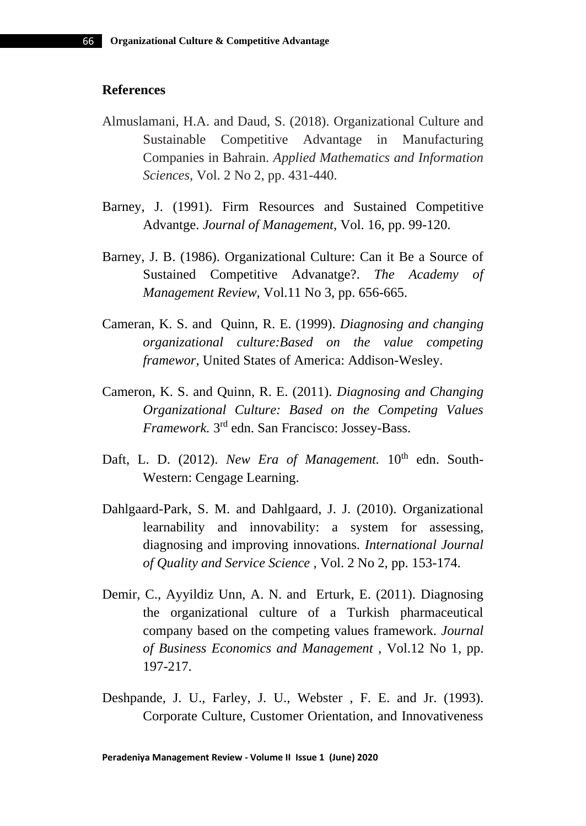#### **References**

- Almuslamani, H.A. and Daud, S. (2018). Organizational Culture and Sustainable Competitive Advantage in Manufacturing Companies in Bahrain. *Applied Mathematics and Information Sciences,* Vol. 2 No 2, pp. 431-440.
- Barney, J. (1991). Firm Resources and Sustained Competitive Advantge. *Journal of Management*, Vol. 16, pp. 99-120.
- Barney, J. B. (1986). Organizational Culture: Can it Be a Source of Sustained Competitive Advanatge?. *The Academy of Management Review,* Vol.11 No 3, pp. 656-665.
- Cameran, K. S. and Quinn, R. E. (1999). *Diagnosing and changing organizational culture:Based on the value competing framewor,* United States of America: Addison-Wesley.
- Cameron, K. S. and Quinn, R. E. (2011). *Diagnosing and Changing Organizational Culture: Based on the Competing Values Framework.* 3 rd edn. San Francisco: Jossey-Bass.
- Daft, L. D. (2012). *New Era of Management*. 10<sup>th</sup> edn. South-Western: Cengage Learning.
- Dahlgaard-Park, S. M. and Dahlgaard, J. J. (2010). Organizational learnability and innovability: a system for assessing, diagnosing and improving innovations. *International Journal of Quality and Service Science ,* Vol. 2 No 2, pp. 153-174.
- Demir, C., Ayyildiz Unn, A. N. and Erturk, E. (2011). Diagnosing the organizational culture of a Turkish pharmaceutical company based on the competing values framework. *Journal of Business Economics and Management ,* Vol.12 No 1, pp. 197-217.
- Deshpande, J. U., Farley, J. U., Webster , F. E. and Jr. (1993). Corporate Culture, Customer Orientation, and Innovativeness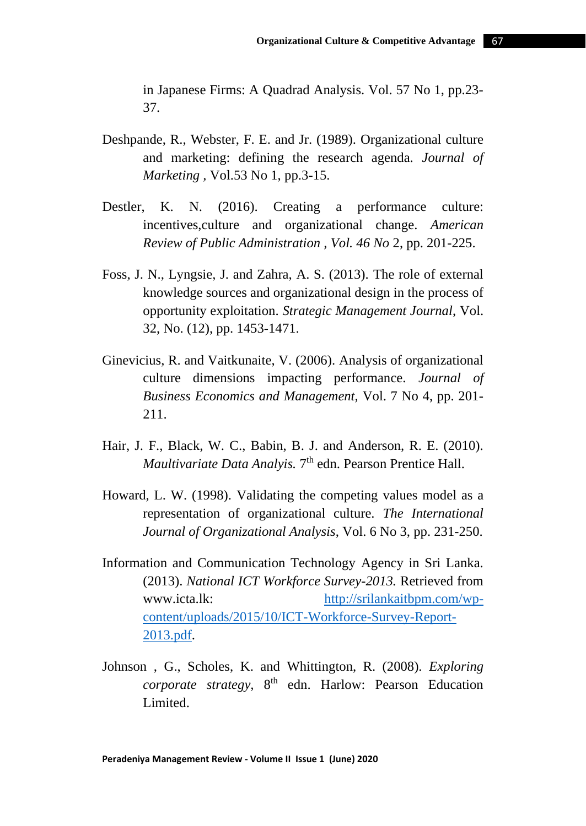in Japanese Firms: A Quadrad Analysis. Vol. 57 No 1, pp.23- 37.

- Deshpande, R., Webster, F. E. and Jr. (1989). Organizational culture and marketing: defining the research agenda. *Journal of Marketing ,* Vol.53 No 1, pp.3-15.
- Destler, K. N. (2016). Creating a performance culture: incentives,culture and organizational change. *American Review of Public Administration , Vol. 46 No* 2, pp. 201-225.
- Foss, J. N., Lyngsie, J. and Zahra, A. S. (2013). The role of external knowledge sources and organizational design in the process of opportunity exploitation. *Strategic Management Journal*, Vol. 32, No. (12), pp. 1453-1471.
- Ginevicius, R. and Vaitkunaite, V. (2006). Analysis of organizational culture dimensions impacting performance. *Journal of Business Economics and Management,* Vol. 7 No 4, pp. 201- 211.
- Hair, J. F., Black, W. C., Babin, B. J. and Anderson, R. E. (2010). Maultivariate Data Analyis. 7<sup>th</sup> edn. Pearson Prentice Hall.
- Howard, L. W. (1998). Validating the competing values model as a representation of organizational culture. *The International Journal of Organizational Analysis*, Vol. 6 No 3, pp. 231-250.
- Information and Communication Technology Agency in Sri Lanka. (2013). *National ICT Workforce Survey-2013.* Retrieved from www.icta.lk: [http://srilankaitbpm.com/wp](http://srilankaitbpm.com/wp-content/uploads/2015/10/ICT-Workforce-Survey-Report-2013.pdf)[content/uploads/2015/10/ICT-Workforce-Survey-Report-](http://srilankaitbpm.com/wp-content/uploads/2015/10/ICT-Workforce-Survey-Report-2013.pdf)[2013.pdf.](http://srilankaitbpm.com/wp-content/uploads/2015/10/ICT-Workforce-Survey-Report-2013.pdf)
- Johnson , G., Scholes, K. and Whittington, R. (2008). *Exploring corporate strategy,* 8 th edn. Harlow: Pearson Education Limited.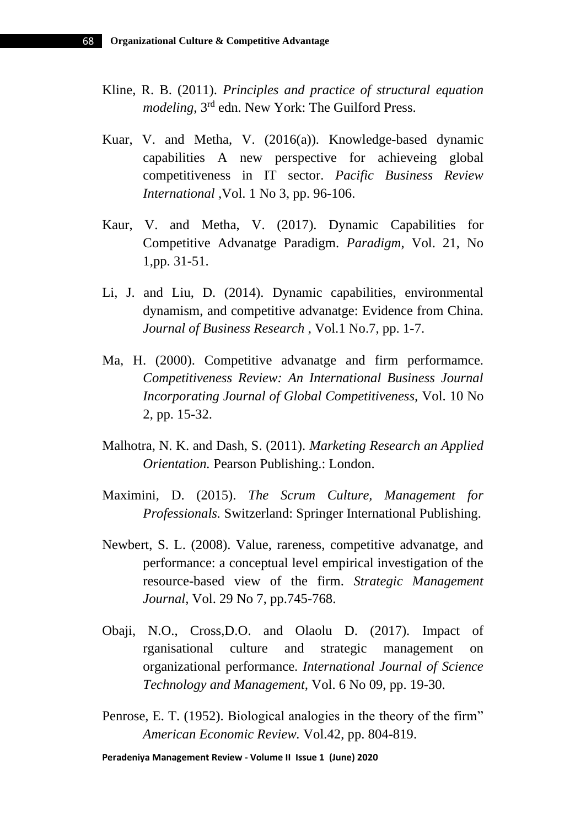- Kline, R. B. (2011). *Principles and practice of structural equation modeling*, 3rd edn. New York: The Guilford Press.
- Kuar, V. and Metha, V. (2016(a)). Knowledge-based dynamic capabilities A new perspective for achieveing global competitiveness in IT sector. *Pacific Business Review International ,*Vol. 1 No 3, pp. 96-106.
- Kaur, V. and Metha, V. (2017). Dynamic Capabilities for Competitive Advanatge Paradigm. *Paradigm*, Vol. 21, No 1,pp. 31-51.
- Li, J. and Liu, D. (2014). Dynamic capabilities, environmental dynamism, and competitive advanatge: Evidence from China. *Journal of Business Research* , Vol.1 No.7, pp. 1-7.
- Ma, H. (2000). Competitive advanatge and firm performamce. *Competitiveness Review: An International Business Journal Incorporating Journal of Global Competitiveness,* Vol. 10 No 2, pp. 15-32.
- Malhotra, N. K. and Dash, S. (2011). *Marketing Research an Applied Orientation.* Pearson Publishing.: London.
- Maximini, D. (2015). *The Scrum Culture, Management for Professionals.* Switzerland: Springer International Publishing.
- Newbert, S. L. (2008). Value, rareness, competitive advanatge, and performance: a conceptual level empirical investigation of the resource-based view of the firm. *Strategic Management Journal,* Vol. 29 No 7, pp.745-768.
- Obaji, N.O., Cross,D.O. and Olaolu D. (2017). Impact of rganisational culture and strategic management on organizational performance. *International Journal of Science Technology and Management,* Vol. 6 No 09, pp. 19-30.
- Penrose, E. T. (1952). Biological analogies in the theory of the firm" *American Economic Review.* Vol.42, pp. 804-819.

**Peradeniya Management Review - Volume II Issue 1 (June) 2020**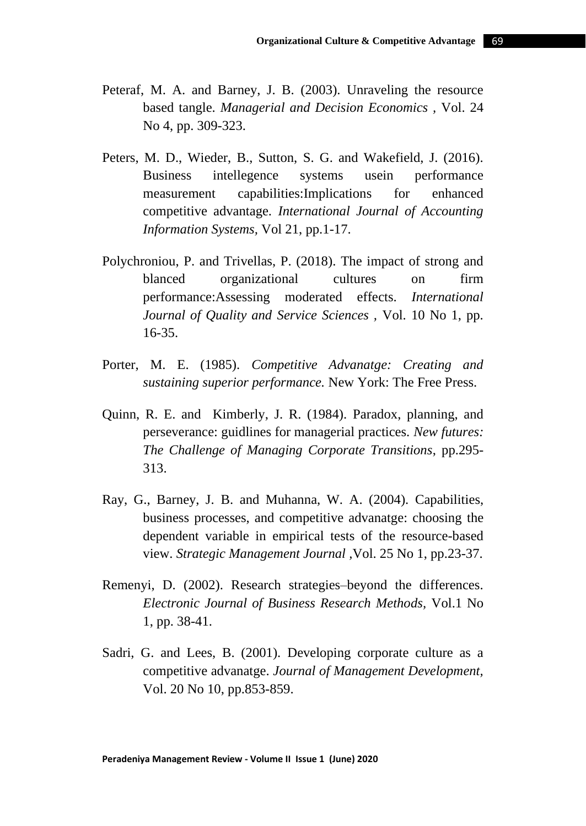- Peteraf, M. A. and Barney, J. B. (2003). Unraveling the resource based tangle. *Managerial and Decision Economics ,* Vol. 24 No 4, pp. 309-323.
- Peters, M. D., Wieder, B., Sutton, S. G. and Wakefield, J. (2016). Business intellegence systems usein performance measurement capabilities:Implications for enhanced competitive advantage. *International Journal of Accounting Information Systems,* Vol 21, pp.1-17.
- Polychroniou, P. and Trivellas, P. (2018). The impact of strong and blanced organizational cultures on firm performance:Assessing moderated effects. *International Journal of Quality and Service Sciences ,* Vol. 10 No 1, pp. 16-35.
- Porter, M. E. (1985). *Competitive Advanatge: Creating and sustaining superior performance.* New York: The Free Press.
- Quinn, R. E. and Kimberly, J. R. (1984). Paradox, planning, and perseverance: guidlines for managerial practices. *New futures: The Challenge of Managing Corporate Transitions*, pp.295- 313.
- Ray, G., Barney, J. B. and Muhanna, W. A. (2004). Capabilities, business processes, and competitive advanatge: choosing the dependent variable in empirical tests of the resource-based view. *Strategic Management Journal ,*Vol. 25 No 1, pp.23-37.
- Remenyi, D. (2002). Research strategies–beyond the differences. *Electronic Journal of Business Research Methods,* Vol.1 No 1, pp. 38-41.
- Sadri, G. and Lees, B. (2001). Developing corporate culture as a competitive advanatge. *Journal of Management Development,*  Vol. 20 No 10, pp.853-859.